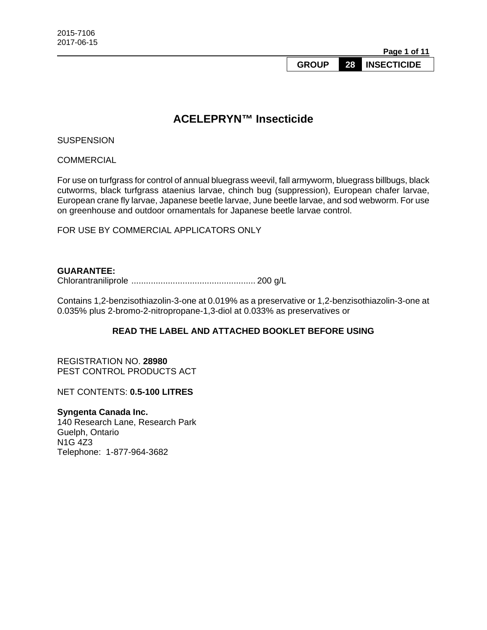**Page 1 of 11** 

**GROUP 28 INSECTICIDE** 

# **ACELEPRYN™ Insecticide**

**SUSPENSION** 

**COMMERCIAL** 

For use on turfgrass for control of annual bluegrass weevil, fall armyworm, bluegrass billbugs, black cutworms, black turfgrass ataenius larvae, chinch bug (suppression), European chafer larvae, European crane fly larvae, Japanese beetle larvae, June beetle larvae, and sod webworm. For use on greenhouse and outdoor ornamentals for Japanese beetle larvae control.

FOR USE BY COMMERCIAL APPLICATORS ONLY

#### **GUARANTEE:**

Chlorantraniliprole ................................................... 200 g/L

Contains 1,2-benzisothiazolin-3-one at 0.019% as a preservative or 1,2-benzisothiazolin-3-one at 0.035% plus 2-bromo-2-nitropropane-1,3-diol at 0.033% as preservatives or

## **READ THE LABEL AND ATTACHED BOOKLET BEFORE USING**

REGISTRATION NO. **28980** PEST CONTROL PRODUCTS ACT

NET CONTENTS: **0.5-100 LITRES**

#### **Syngenta Canada Inc.**

140 Research Lane, Research Park Guelph, Ontario N1G 4Z3 Telephone: 1-877-964-3682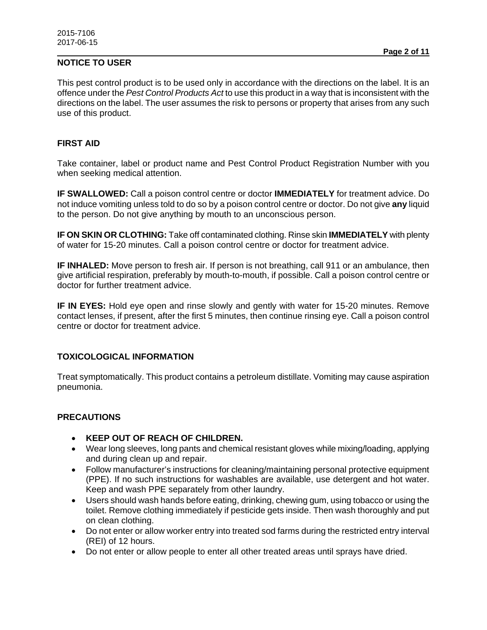# **NOTICE TO USER**

This pest control product is to be used only in accordance with the directions on the label. It is an offence under the *Pest Control Products Act* to use this product in a way that is inconsistent with the directions on the label. The user assumes the risk to persons or property that arises from any such use of this product.

#### **FIRST AID**

Take container, label or product name and Pest Control Product Registration Number with you when seeking medical attention.

**IF SWALLOWED:** Call a poison control centre or doctor **IMMEDIATELY** for treatment advice. Do not induce vomiting unless told to do so by a poison control centre or doctor. Do not give **any** liquid to the person. Do not give anything by mouth to an unconscious person.

**IF ON SKIN OR CLOTHING:** Take off contaminated clothing. Rinse skin **IMMEDIATELY** with plenty of water for 15-20 minutes. Call a poison control centre or doctor for treatment advice.

**IF INHALED:** Move person to fresh air. If person is not breathing, call 911 or an ambulance, then give artificial respiration, preferably by mouth-to-mouth, if possible. Call a poison control centre or doctor for further treatment advice.

**IF IN EYES:** Hold eye open and rinse slowly and gently with water for 15-20 minutes. Remove contact lenses, if present, after the first 5 minutes, then continue rinsing eye. Call a poison control centre or doctor for treatment advice.

## **TOXICOLOGICAL INFORMATION**

Treat symptomatically. This product contains a petroleum distillate. Vomiting may cause aspiration pneumonia.

## **PRECAUTIONS**

- **KEEP OUT OF REACH OF CHILDREN.**
- Wear long sleeves, long pants and chemical resistant gloves while mixing/loading, applying and during clean up and repair.
- Follow manufacturer's instructions for cleaning/maintaining personal protective equipment (PPE). If no such instructions for washables are available, use detergent and hot water. Keep and wash PPE separately from other laundry.
- Users should wash hands before eating, drinking, chewing gum, using tobacco or using the toilet. Remove clothing immediately if pesticide gets inside. Then wash thoroughly and put on clean clothing.
- Do not enter or allow worker entry into treated sod farms during the restricted entry interval (REI) of 12 hours.
- Do not enter or allow people to enter all other treated areas until sprays have dried.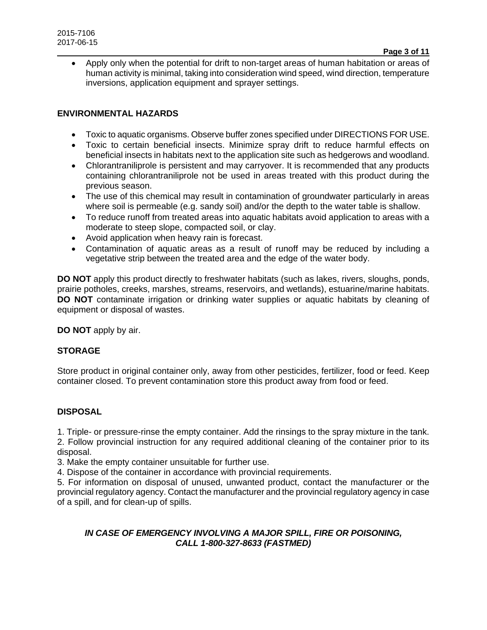Apply only when the potential for drift to non-target areas of human habitation or areas of human activity is minimal, taking into consideration wind speed, wind direction, temperature inversions, application equipment and sprayer settings.

## **ENVIRONMENTAL HAZARDS**

- Toxic to aquatic organisms. Observe buffer zones specified under DIRECTIONS FOR USE.
- Toxic to certain beneficial insects. Minimize spray drift to reduce harmful effects on beneficial insects in habitats next to the application site such as hedgerows and woodland.
- Chlorantraniliprole is persistent and may carryover. It is recommended that any products containing chlorantraniliprole not be used in areas treated with this product during the previous season.
- The use of this chemical may result in contamination of groundwater particularly in areas where soil is permeable (e.g. sandy soil) and/or the depth to the water table is shallow.
- To reduce runoff from treated areas into aquatic habitats avoid application to areas with a moderate to steep slope, compacted soil, or clay.
- Avoid application when heavy rain is forecast.
- Contamination of aquatic areas as a result of runoff may be reduced by including a vegetative strip between the treated area and the edge of the water body.

**DO NOT** apply this product directly to freshwater habitats (such as lakes, rivers, sloughs, ponds, prairie potholes, creeks, marshes, streams, reservoirs, and wetlands), estuarine/marine habitats. **DO NOT** contaminate irrigation or drinking water supplies or aquatic habitats by cleaning of equipment or disposal of wastes.

**DO NOT** apply by air.

## **STORAGE**

Store product in original container only, away from other pesticides, fertilizer, food or feed. Keep container closed. To prevent contamination store this product away from food or feed.

## **DISPOSAL**

1. Triple- or pressure-rinse the empty container. Add the rinsings to the spray mixture in the tank.

2. Follow provincial instruction for any required additional cleaning of the container prior to its disposal.

3. Make the empty container unsuitable for further use.

4. Dispose of the container in accordance with provincial requirements.

5. For information on disposal of unused, unwanted product, contact the manufacturer or the provincial regulatory agency. Contact the manufacturer and the provincial regulatory agency in case of a spill, and for clean-up of spills.

## *IN CASE OF EMERGENCY INVOLVING A MAJOR SPILL, FIRE OR POISONING, CALL 1-800-327-8633 (FASTMED)*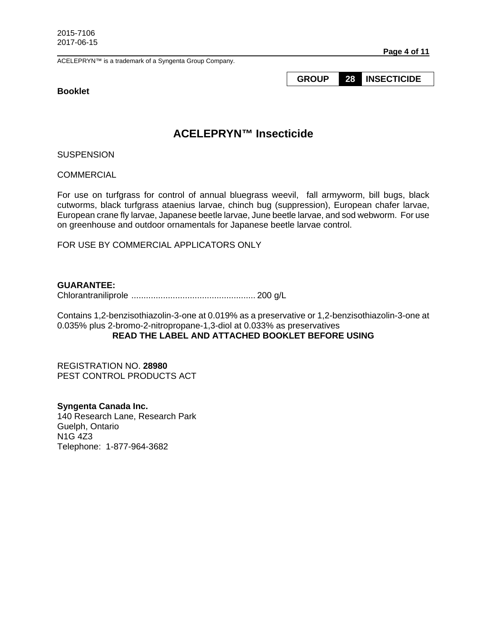ACELEPRYN™ is a trademark of a Syngenta Group Company.

#### **Booklet**

#### **Page 4 of 11**

**GROUP 28 INSECTICIDE** 

# **ACELEPRYN™ Insecticide**

**SUSPENSION** 

**COMMERCIAL** 

For use on turfgrass for control of annual bluegrass weevil, fall armyworm, bill bugs, black cutworms, black turfgrass ataenius larvae, chinch bug (suppression), European chafer larvae, European crane fly larvae, Japanese beetle larvae, June beetle larvae, and sod webworm. For use on greenhouse and outdoor ornamentals for Japanese beetle larvae control.

FOR USE BY COMMERCIAL APPLICATORS ONLY

#### **GUARANTEE:**

Chlorantraniliprole ................................................... 200 g/L

Contains 1,2-benzisothiazolin-3-one at 0.019% as a preservative or 1,2-benzisothiazolin-3-one at 0.035% plus 2-bromo-2-nitropropane-1,3-diol at 0.033% as preservatives **READ THE LABEL AND ATTACHED BOOKLET BEFORE USING** 

REGISTRATION NO. **28980** PEST CONTROL PRODUCTS ACT

**Syngenta Canada Inc.**  140 Research Lane, Research Park Guelph, Ontario N1G 4Z3 Telephone: 1-877-964-3682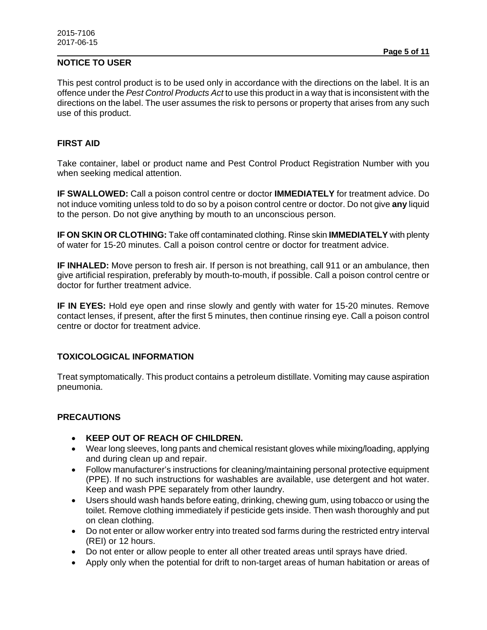# **NOTICE TO USER**

This pest control product is to be used only in accordance with the directions on the label. It is an offence under the *Pest Control Products Act* to use this product in a way that is inconsistent with the directions on the label. The user assumes the risk to persons or property that arises from any such use of this product.

#### **FIRST AID**

Take container, label or product name and Pest Control Product Registration Number with you when seeking medical attention.

**IF SWALLOWED:** Call a poison control centre or doctor **IMMEDIATELY** for treatment advice. Do not induce vomiting unless told to do so by a poison control centre or doctor. Do not give **any** liquid to the person. Do not give anything by mouth to an unconscious person.

**IF ON SKIN OR CLOTHING:** Take off contaminated clothing. Rinse skin **IMMEDIATELY** with plenty of water for 15-20 minutes. Call a poison control centre or doctor for treatment advice.

**IF INHALED:** Move person to fresh air. If person is not breathing, call 911 or an ambulance, then give artificial respiration, preferably by mouth-to-mouth, if possible. Call a poison control centre or doctor for further treatment advice.

**IF IN EYES:** Hold eye open and rinse slowly and gently with water for 15-20 minutes. Remove contact lenses, if present, after the first 5 minutes, then continue rinsing eye. Call a poison control centre or doctor for treatment advice.

## **TOXICOLOGICAL INFORMATION**

Treat symptomatically. This product contains a petroleum distillate. Vomiting may cause aspiration pneumonia.

## **PRECAUTIONS**

- **KEEP OUT OF REACH OF CHILDREN.**
- Wear long sleeves, long pants and chemical resistant gloves while mixing/loading, applying and during clean up and repair.
- Follow manufacturer's instructions for cleaning/maintaining personal protective equipment (PPE). If no such instructions for washables are available, use detergent and hot water. Keep and wash PPE separately from other laundry.
- Users should wash hands before eating, drinking, chewing gum, using tobacco or using the toilet. Remove clothing immediately if pesticide gets inside. Then wash thoroughly and put on clean clothing.
- Do not enter or allow worker entry into treated sod farms during the restricted entry interval (REI) or 12 hours.
- Do not enter or allow people to enter all other treated areas until sprays have dried.
- Apply only when the potential for drift to non-target areas of human habitation or areas of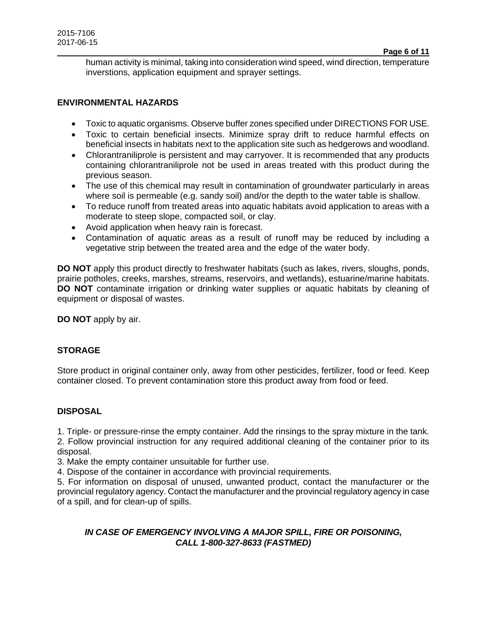human activity is minimal, taking into consideration wind speed, wind direction, temperature inverstions, application equipment and sprayer settings.

#### **ENVIRONMENTAL HAZARDS**

- Toxic to aquatic organisms. Observe buffer zones specified under DIRECTIONS FOR USE.
- Toxic to certain beneficial insects. Minimize spray drift to reduce harmful effects on beneficial insects in habitats next to the application site such as hedgerows and woodland.
- Chlorantraniliprole is persistent and may carryover. It is recommended that any products containing chlorantraniliprole not be used in areas treated with this product during the previous season.
- The use of this chemical may result in contamination of groundwater particularly in areas where soil is permeable (e.g. sandy soil) and/or the depth to the water table is shallow.
- To reduce runoff from treated areas into aquatic habitats avoid application to areas with a moderate to steep slope, compacted soil, or clay.
- Avoid application when heavy rain is forecast.
- Contamination of aquatic areas as a result of runoff may be reduced by including a vegetative strip between the treated area and the edge of the water body.

**DO NOT** apply this product directly to freshwater habitats (such as lakes, rivers, sloughs, ponds, prairie potholes, creeks, marshes, streams, reservoirs, and wetlands), estuarine/marine habitats. **DO NOT** contaminate irrigation or drinking water supplies or aquatic habitats by cleaning of equipment or disposal of wastes.

**DO NOT** apply by air.

## **STORAGE**

Store product in original container only, away from other pesticides, fertilizer, food or feed. Keep container closed. To prevent contamination store this product away from food or feed.

## **DISPOSAL**

1. Triple- or pressure-rinse the empty container. Add the rinsings to the spray mixture in the tank.

2. Follow provincial instruction for any required additional cleaning of the container prior to its disposal.

3. Make the empty container unsuitable for further use.

4. Dispose of the container in accordance with provincial requirements.

5. For information on disposal of unused, unwanted product, contact the manufacturer or the provincial regulatory agency. Contact the manufacturer and the provincial regulatory agency in case of a spill, and for clean-up of spills.

## *IN CASE OF EMERGENCY INVOLVING A MAJOR SPILL, FIRE OR POISONING, CALL 1-800-327-8633 (FASTMED)*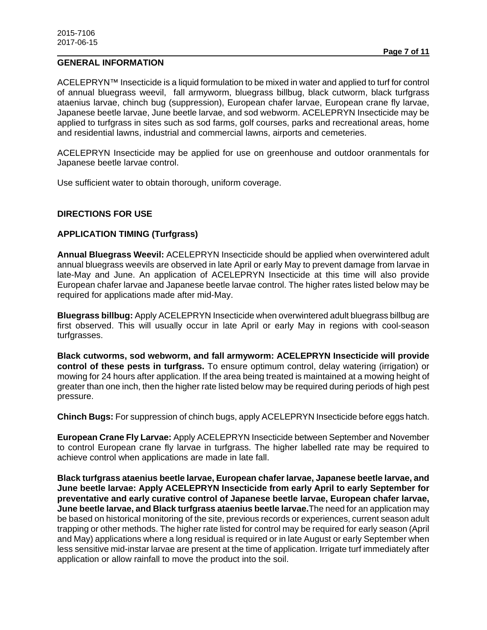ACELEPRYN™ Insecticide is a liquid formulation to be mixed in water and applied to turf for control of annual bluegrass weevil, fall armyworm, bluegrass billbug, black cutworm, black turfgrass ataenius larvae, chinch bug (suppression), European chafer larvae, European crane fly larvae, Japanese beetle larvae, June beetle larvae, and sod webworm. ACELEPRYN Insecticide may be applied to turfgrass in sites such as sod farms, golf courses, parks and recreational areas, home and residential lawns, industrial and commercial lawns, airports and cemeteries.

ACELEPRYN Insecticide may be applied for use on greenhouse and outdoor oranmentals for Japanese beetle larvae control.

Use sufficient water to obtain thorough, uniform coverage.

## **DIRECTIONS FOR USE**

## **APPLICATION TIMING (Turfgrass)**

**Annual Bluegrass Weevil:** ACELEPRYN Insecticide should be applied when overwintered adult annual bluegrass weevils are observed in late April or early May to prevent damage from larvae in late-May and June. An application of ACELEPRYN Insecticide at this time will also provide European chafer larvae and Japanese beetle larvae control. The higher rates listed below may be required for applications made after mid-May.

**Bluegrass billbug:** Apply ACELEPRYN Insecticide when overwintered adult bluegrass billbug are first observed. This will usually occur in late April or early May in regions with cool-season turfgrasses.

**Black cutworms, sod webworm, and fall armyworm: ACELEPRYN Insecticide will provide control of these pests in turfgrass.** To ensure optimum control, delay watering (irrigation) or mowing for 24 hours after application. If the area being treated is maintained at a mowing height of greater than one inch, then the higher rate listed below may be required during periods of high pest pressure.

**Chinch Bugs:** For suppression of chinch bugs, apply ACELEPRYN Insecticide before eggs hatch.

**European Crane Fly Larvae:** Apply ACELEPRYN Insecticide between September and November to control European crane fly larvae in turfgrass. The higher labelled rate may be required to achieve control when applications are made in late fall.

**Black turfgrass ataenius beetle larvae, European chafer larvae, Japanese beetle larvae, and June beetle larvae: Apply ACELEPRYN Insecticide from early April to early September for preventative and early curative control of Japanese beetle larvae, European chafer larvae, June beetle larvae, and Black turfgrass ataenius beetle larvae.**The need for an application may be based on historical monitoring of the site, previous records or experiences, current season adult trapping or other methods. The higher rate listed for control may be required for early season (April and May) applications where a long residual is required or in late August or early September when less sensitive mid-instar larvae are present at the time of application. Irrigate turf immediately after application or allow rainfall to move the product into the soil.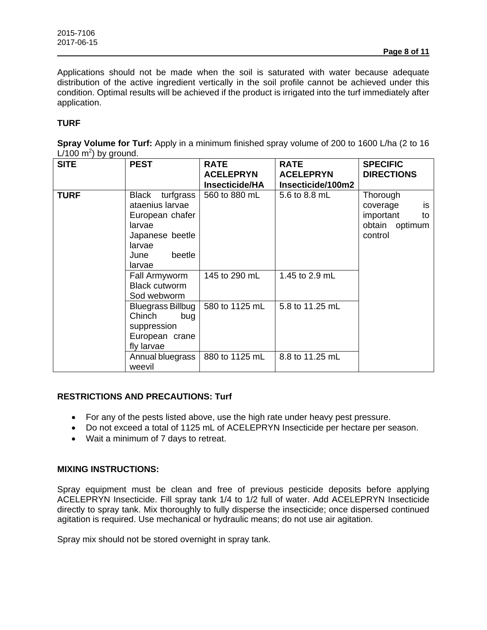Applications should not be made when the soil is saturated with water because adequate distribution of the active ingredient vertically in the soil profile cannot be achieved under this condition. Optimal results will be achieved if the product is irrigated into the turf immediately after application.

# **TURF**

**Spray Volume for Turf:** Apply in a minimum finished spray volume of 200 to 1600 L/ha (2 to 16  $L/100$  m<sup>2</sup>) by ground.

| <b>SITE</b> | <b>PEST</b>                                                                                                              | <b>RATE</b><br><b>ACELEPRYN</b> | <b>RATE</b><br><b>ACELEPRYN</b> | <b>SPECIFIC</b><br><b>DIRECTIONS</b>                                       |
|-------------|--------------------------------------------------------------------------------------------------------------------------|---------------------------------|---------------------------------|----------------------------------------------------------------------------|
|             |                                                                                                                          | <b>Insecticide/HA</b>           | Insecticide/100m2               |                                                                            |
| <b>TURF</b> | Black turfgrass<br>ataenius larvae<br>European chafer<br>larvae<br>Japanese beetle<br>larvae<br>beetle<br>June<br>larvae | 560 to 880 mL                   | 5.6 to 8.8 mL                   | Thorough<br>is<br>coverage<br>important<br>to<br>obtain optimum<br>control |
|             | Fall Armyworm<br><b>Black cutworm</b><br>Sod webworm                                                                     | 145 to 290 mL                   | 1.45 to 2.9 mL                  |                                                                            |
|             | Bluegrass Billbug<br>Chinch<br>bug<br>suppression<br>European crane<br>fly larvae                                        | 580 to 1125 mL                  | 5.8 to 11.25 mL                 |                                                                            |
|             | Annual bluegrass<br>weevil                                                                                               | 880 to 1125 mL                  | 8.8 to 11.25 mL                 |                                                                            |

## **RESTRICTIONS AND PRECAUTIONS: Turf**

- For any of the pests listed above, use the high rate under heavy pest pressure.
- Do not exceed a total of 1125 mL of ACELEPRYN Insecticide per hectare per season.
- Wait a minimum of 7 days to retreat.

## **MIXING INSTRUCTIONS:**

Spray equipment must be clean and free of previous pesticide deposits before applying ACELEPRYN Insecticide. Fill spray tank 1/4 to 1/2 full of water. Add ACELEPRYN Insecticide directly to spray tank. Mix thoroughly to fully disperse the insecticide; once dispersed continued agitation is required. Use mechanical or hydraulic means; do not use air agitation.

Spray mix should not be stored overnight in spray tank.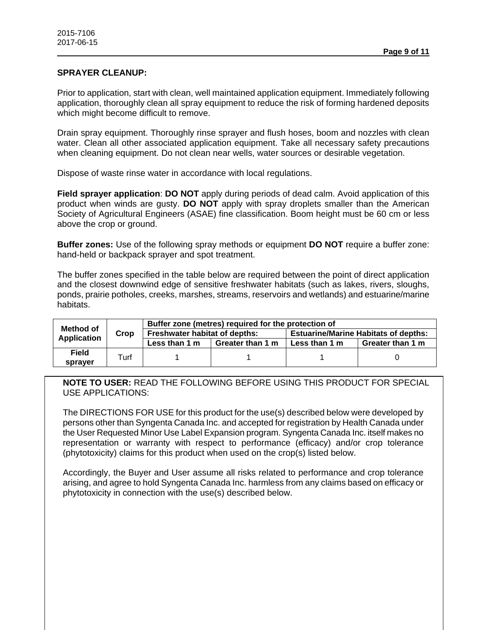#### **SPRAYER CLEANUP:**

Prior to application, start with clean, well maintained application equipment. Immediately following application, thoroughly clean all spray equipment to reduce the risk of forming hardened deposits which might become difficult to remove.

Drain spray equipment. Thoroughly rinse sprayer and flush hoses, boom and nozzles with clean water. Clean all other associated application equipment. Take all necessary safety precautions when cleaning equipment. Do not clean near wells, water sources or desirable vegetation.

Dispose of waste rinse water in accordance with local regulations.

**Field sprayer application**: **DO NOT** apply during periods of dead calm. Avoid application of this product when winds are gusty. **DO NOT** apply with spray droplets smaller than the American Society of Agricultural Engineers (ASAE) fine classification. Boom height must be 60 cm or less above the crop or ground.

**Buffer zones:** Use of the following spray methods or equipment **DO NOT** require a buffer zone: hand-held or backpack sprayer and spot treatment.

The buffer zones specified in the table below are required between the point of direct application and the closest downwind edge of sensitive freshwater habitats (such as lakes, rivers, sloughs, ponds, prairie potholes, creeks, marshes, streams, reservoirs and wetlands) and estuarine/marine habitats.

| Method of<br><b>Application</b> | Crop | Buffer zone (metres) required for the protection of |                  |                                             |                  |
|---------------------------------|------|-----------------------------------------------------|------------------|---------------------------------------------|------------------|
|                                 |      | Freshwater habitat of depths:                       |                  | <b>Estuarine/Marine Habitats of depths:</b> |                  |
|                                 |      | Less than 1 m                                       | Greater than 1 m | Less than 1 m                               | Greater than 1 m |
| <b>Field</b>                    | Turf |                                                     |                  |                                             |                  |
| spraver                         |      |                                                     |                  |                                             |                  |

**NOTE TO USER:** READ THE FOLLOWING BEFORE USING THIS PRODUCT FOR SPECIAL USE APPLICATIONS:

The DIRECTIONS FOR USE for this product for the use(s) described below were developed by persons other than Syngenta Canada Inc. and accepted for registration by Health Canada under the User Requested Minor Use Label Expansion program. Syngenta Canada Inc. itself makes no representation or warranty with respect to performance (efficacy) and/or crop tolerance (phytotoxicity) claims for this product when used on the crop(s) listed below.

Accordingly, the Buyer and User assume all risks related to performance and crop tolerance arising, and agree to hold Syngenta Canada Inc. harmless from any claims based on efficacy or phytotoxicity in connection with the use(s) described below.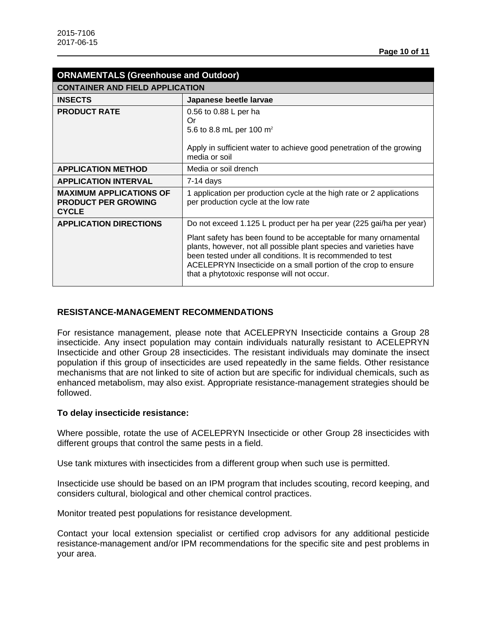| <b>ORNAMENTALS (Greenhouse and Outdoor)</b>                                  |                                                                                                                                                                                                                                                                                                                       |  |  |  |
|------------------------------------------------------------------------------|-----------------------------------------------------------------------------------------------------------------------------------------------------------------------------------------------------------------------------------------------------------------------------------------------------------------------|--|--|--|
| <b>CONTAINER AND FIELD APPLICATION</b>                                       |                                                                                                                                                                                                                                                                                                                       |  |  |  |
| <b>INSECTS</b>                                                               | Japanese beetle larvae                                                                                                                                                                                                                                                                                                |  |  |  |
| <b>PRODUCT RATE</b>                                                          | 0.56 to 0.88 L per ha<br>Or<br>5.6 to 8.8 mL per 100 $m2$                                                                                                                                                                                                                                                             |  |  |  |
|                                                                              | Apply in sufficient water to achieve good penetration of the growing<br>media or soil                                                                                                                                                                                                                                 |  |  |  |
| <b>APPLICATION METHOD</b>                                                    | Media or soil drench                                                                                                                                                                                                                                                                                                  |  |  |  |
| <b>APPLICATION INTERVAL</b>                                                  | $7-14$ days                                                                                                                                                                                                                                                                                                           |  |  |  |
| <b>MAXIMUM APPLICATIONS OF</b><br><b>PRODUCT PER GROWING</b><br><b>CYCLE</b> | 1 application per production cycle at the high rate or 2 applications<br>per production cycle at the low rate                                                                                                                                                                                                         |  |  |  |
| <b>APPLICATION DIRECTIONS</b>                                                | Do not exceed 1.125 L product per ha per year (225 gai/ha per year)                                                                                                                                                                                                                                                   |  |  |  |
|                                                                              | Plant safety has been found to be acceptable for many ornamental<br>plants, however, not all possible plant species and varieties have<br>been tested under all conditions. It is recommended to test<br>ACELEPRYN Insecticide on a small portion of the crop to ensure<br>that a phytotoxic response will not occur. |  |  |  |

#### **RESISTANCE-MANAGEMENT RECOMMENDATIONS**

For resistance management, please note that ACELEPRYN Insecticide contains a Group 28 insecticide. Any insect population may contain individuals naturally resistant to ACELEPRYN Insecticide and other Group 28 insecticides. The resistant individuals may dominate the insect population if this group of insecticides are used repeatedly in the same fields. Other resistance mechanisms that are not linked to site of action but are specific for individual chemicals, such as enhanced metabolism, may also exist. Appropriate resistance-management strategies should be followed.

#### **To delay insecticide resistance:**

Where possible, rotate the use of ACELEPRYN Insecticide or other Group 28 insecticides with different groups that control the same pests in a field.

Use tank mixtures with insecticides from a different group when such use is permitted.

Insecticide use should be based on an IPM program that includes scouting, record keeping, and considers cultural, biological and other chemical control practices.

Monitor treated pest populations for resistance development.

Contact your local extension specialist or certified crop advisors for any additional pesticide resistance-management and/or IPM recommendations for the specific site and pest problems in your area.